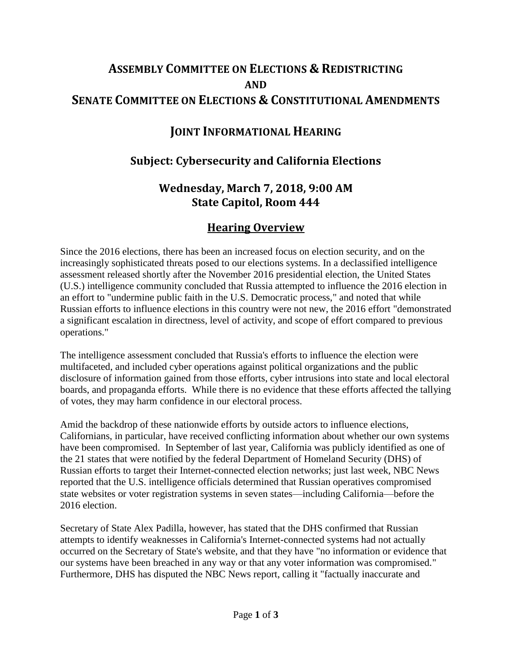# **ASSEMBLY COMMITTEE ON ELECTIONS & REDISTRICTING AND SENATE COMMITTEE ON ELECTIONS & CONSTITUTIONAL AMENDMENTS**

## **JOINT INFORMATIONAL HEARING**

#### **Subject: Cybersecurity and California Elections**

### **Wednesday, March 7, 2018, 9:00 AM State Capitol, Room 444**

#### **Hearing Overview**

Since the 2016 elections, there has been an increased focus on election security, and on the increasingly sophisticated threats posed to our elections systems. In a declassified intelligence assessment released shortly after the November 2016 presidential election, the United States (U.S.) intelligence community concluded that Russia attempted to influence the 2016 election in an effort to "undermine public faith in the U.S. Democratic process," and noted that while Russian efforts to influence elections in this country were not new, the 2016 effort "demonstrated a significant escalation in directness, level of activity, and scope of effort compared to previous operations."

The intelligence assessment concluded that Russia's efforts to influence the election were multifaceted, and included cyber operations against political organizations and the public disclosure of information gained from those efforts, cyber intrusions into state and local electoral boards, and propaganda efforts. While there is no evidence that these efforts affected the tallying of votes, they may harm confidence in our electoral process.

Amid the backdrop of these nationwide efforts by outside actors to influence elections, Californians, in particular, have received conflicting information about whether our own systems have been compromised. In September of last year, California was publicly identified as one of the 21 states that were notified by the federal Department of Homeland Security (DHS) of Russian efforts to target their Internet-connected election networks; just last week, NBC News reported that the U.S. intelligence officials determined that Russian operatives compromised state websites or voter registration systems in seven states—including California—before the 2016 election.

Secretary of State Alex Padilla, however, has stated that the DHS confirmed that Russian attempts to identify weaknesses in California's Internet-connected systems had not actually occurred on the Secretary of State's website, and that they have "no information or evidence that our systems have been breached in any way or that any voter information was compromised." Furthermore, DHS has disputed the NBC News report, calling it "factually inaccurate and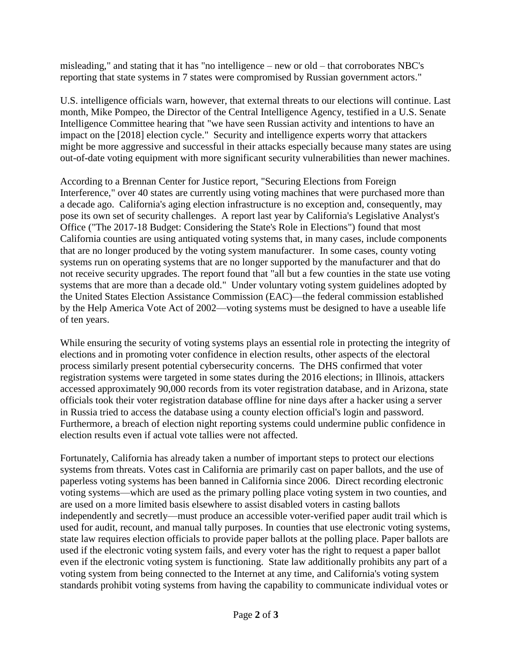misleading," and stating that it has "no intelligence – new or old – that corroborates NBC's reporting that state systems in 7 states were compromised by Russian government actors."

U.S. intelligence officials warn, however, that external threats to our elections will continue. Last month, Mike Pompeo, the Director of the Central Intelligence Agency, testified in a U.S. Senate Intelligence Committee hearing that "we have seen Russian activity and intentions to have an impact on the [2018] election cycle." Security and intelligence experts worry that attackers might be more aggressive and successful in their attacks especially because many states are using out-of-date voting equipment with more significant security vulnerabilities than newer machines.

According to a Brennan Center for Justice report, "Securing Elections from Foreign Interference," over 40 states are currently using voting machines that were purchased more than a decade ago. California's aging election infrastructure is no exception and, consequently, may pose its own set of security challenges. A report last year by California's Legislative Analyst's Office ("The 2017-18 Budget: Considering the State's Role in Elections") found that most California counties are using antiquated voting systems that, in many cases, include components that are no longer produced by the voting system manufacturer. In some cases, county voting systems run on operating systems that are no longer supported by the manufacturer and that do not receive security upgrades. The report found that "all but a few counties in the state use voting systems that are more than a decade old." Under voluntary voting system guidelines adopted by the United States Election Assistance Commission (EAC)—the federal commission established by the Help America Vote Act of 2002—voting systems must be designed to have a useable life of ten years.

While ensuring the security of voting systems plays an essential role in protecting the integrity of elections and in promoting voter confidence in election results, other aspects of the electoral process similarly present potential cybersecurity concerns. The DHS confirmed that voter registration systems were targeted in some states during the 2016 elections; in Illinois, attackers accessed approximately 90,000 records from its voter registration database, and in Arizona, state officials took their voter registration database offline for nine days after a hacker using a server in Russia tried to access the database using a county election official's login and password. Furthermore, a breach of election night reporting systems could undermine public confidence in election results even if actual vote tallies were not affected.

Fortunately, California has already taken a number of important steps to protect our elections systems from threats. Votes cast in California are primarily cast on paper ballots, and the use of paperless voting systems has been banned in California since 2006. Direct recording electronic voting systems—which are used as the primary polling place voting system in two counties, and are used on a more limited basis elsewhere to assist disabled voters in casting ballots independently and secretly—must produce an accessible voter-verified paper audit trail which is used for audit, recount, and manual tally purposes. In counties that use electronic voting systems, state law requires election officials to provide paper ballots at the polling place. Paper ballots are used if the electronic voting system fails, and every voter has the right to request a paper ballot even if the electronic voting system is functioning. State law additionally prohibits any part of a voting system from being connected to the Internet at any time, and California's voting system standards prohibit voting systems from having the capability to communicate individual votes or